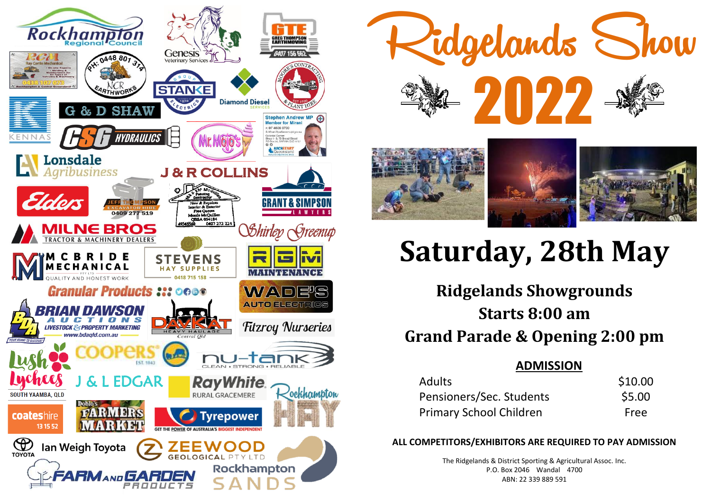



# **Saturday, 28th May**

**Ridgelands Showgrounds Starts 8:00 am Grand Parade & Opening 2:00 pm**

## **ADMISSION**

| <b>Adults</b>                  | \$10.00 |
|--------------------------------|---------|
| Pensioners/Sec. Students       | \$5.00  |
| <b>Primary School Children</b> | Free    |

### **ALL COMPETITORS/EXHIBITORS ARE REQUIRED TO PAY ADMISSION**

The Ridgelands & District Sporting & Agricultural Assoc. Inc. P.O. Box 2046 Wandal 4700 ABN: 22 339 889 591